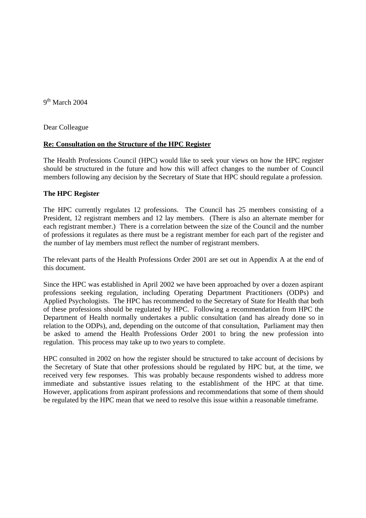9<sup>th</sup> March 2004

Dear Colleague

# **Re: Consultation on the Structure of the HPC Register**

The Health Professions Council (HPC) would like to seek your views on how the HPC register should be structured in the future and how this will affect changes to the number of Council members following any decision by the Secretary of State that HPC should regulate a profession.

# **The HPC Register**

The HPC currently regulates 12 professions. The Council has 25 members consisting of a President, 12 registrant members and 12 lay members. (There is also an alternate member for each registrant member.) There is a correlation between the size of the Council and the number of professions it regulates as there must be a registrant member for each part of the register and the number of lay members must reflect the number of registrant members.

The relevant parts of the Health Professions Order 2001 are set out in Appendix A at the end of this document.

Since the HPC was established in April 2002 we have been approached by over a dozen aspirant professions seeking regulation, including Operating Department Practitioners (ODPs) and Applied Psychologists. The HPC has recommended to the Secretary of State for Health that both of these professions should be regulated by HPC. Following a recommendation from HPC the Department of Health normally undertakes a public consultation (and has already done so in relation to the ODPs), and, depending on the outcome of that consultation, Parliament may then be asked to amend the Health Professions Order 2001 to bring the new profession into regulation. This process may take up to two years to complete.

HPC consulted in 2002 on how the register should be structured to take account of decisions by the Secretary of State that other professions should be regulated by HPC but, at the time, we received very few responses. This was probably because respondents wished to address more immediate and substantive issues relating to the establishment of the HPC at that time. However, applications from aspirant professions and recommendations that some of them should be regulated by the HPC mean that we need to resolve this issue within a reasonable timeframe.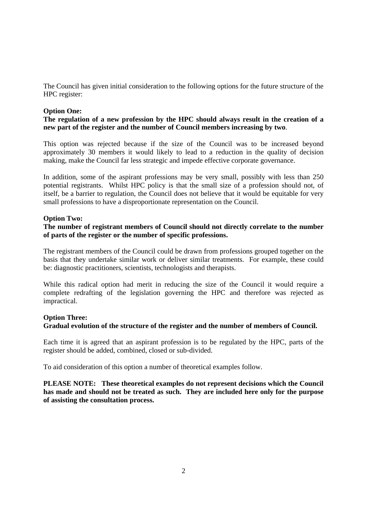The Council has given initial consideration to the following options for the future structure of the HPC register:

### **Option One:**

## **The regulation of a new profession by the HPC should always result in the creation of a new part of the register and the number of Council members increasing by two**.

This option was rejected because if the size of the Council was to be increased beyond approximately 30 members it would likely to lead to a reduction in the quality of decision making, make the Council far less strategic and impede effective corporate governance.

In addition, some of the aspirant professions may be very small, possibly with less than 250 potential registrants. Whilst HPC policy is that the small size of a profession should not, of itself, be a barrier to regulation, the Council does not believe that it would be equitable for very small professions to have a disproportionate representation on the Council.

### **Option Two:**

## **The number of registrant members of Council should not directly correlate to the number of parts of the register or the number of specific professions.**

The registrant members of the Council could be drawn from professions grouped together on the basis that they undertake similar work or deliver similar treatments. For example, these could be: diagnostic practitioners, scientists, technologists and therapists.

While this radical option had merit in reducing the size of the Council it would require a complete redrafting of the legislation governing the HPC and therefore was rejected as impractical.

# **Option Three: Gradual evolution of the structure of the register and the number of members of Council.**

Each time it is agreed that an aspirant profession is to be regulated by the HPC, parts of the register should be added, combined, closed or sub-divided.

To aid consideration of this option a number of theoretical examples follow.

**PLEASE NOTE: These theoretical examples do not represent decisions which the Council has made and should not be treated as such. They are included here only for the purpose of assisting the consultation process.**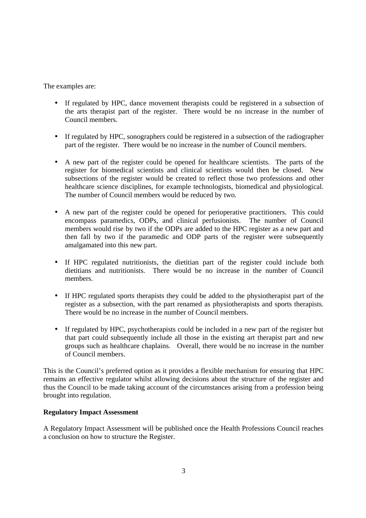The examples are:

- If regulated by HPC, dance movement therapists could be registered in a subsection of the arts therapist part of the register. There would be no increase in the number of Council members.
- If regulated by HPC, sonographers could be registered in a subsection of the radiographer part of the register. There would be no increase in the number of Council members.
- A new part of the register could be opened for healthcare scientists. The parts of the register for biomedical scientists and clinical scientists would then be closed. New subsections of the register would be created to reflect those two professions and other healthcare science disciplines, for example technologists, biomedical and physiological. The number of Council members would be reduced by two.
- A new part of the register could be opened for perioperative practitioners. This could encompass paramedics, ODPs, and clinical perfusionists. The number of Council members would rise by two if the ODPs are added to the HPC register as a new part and then fall by two if the paramedic and ODP parts of the register were subsequently amalgamated into this new part.
- If HPC regulated nutritionists, the dietitian part of the register could include both dietitians and nutritionists. There would be no increase in the number of Council members.
- If HPC regulated sports therapists they could be added to the physiotherapist part of the register as a subsection, with the part renamed as physiotherapists and sports therapists. There would be no increase in the number of Council members.
- If regulated by HPC, psychotherapists could be included in a new part of the register but that part could subsequently include all those in the existing art therapist part and new groups such as healthcare chaplains. Overall, there would be no increase in the number of Council members.

This is the Council's preferred option as it provides a flexible mechanism for ensuring that HPC remains an effective regulator whilst allowing decisions about the structure of the register and thus the Council to be made taking account of the circumstances arising from a profession being brought into regulation.

## **Regulatory Impact Assessment**

A Regulatory Impact Assessment will be published once the Health Professions Council reaches a conclusion on how to structure the Register.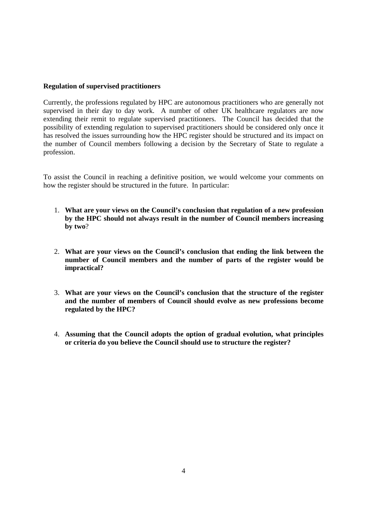### **Regulation of supervised practitioners**

Currently, the professions regulated by HPC are autonomous practitioners who are generally not supervised in their day to day work. A number of other UK healthcare regulators are now extending their remit to regulate supervised practitioners. The Council has decided that the possibility of extending regulation to supervised practitioners should be considered only once it has resolved the issues surrounding how the HPC register should be structured and its impact on the number of Council members following a decision by the Secretary of State to regulate a profession.

To assist the Council in reaching a definitive position, we would welcome your comments on how the register should be structured in the future. In particular:

- 1. **What are your views on the Council's conclusion that regulation of a new profession by the HPC should not always result in the number of Council members increasing by two**?
- 2. **What are your views on the Council's conclusion that ending the link between the number of Council members and the number of parts of the register would be impractical?**
- 3. **What are your views on the Council's conclusion that the structure of the register and the number of members of Council should evolve as new professions become regulated by the HPC?**
- 4. **Assuming that the Council adopts the option of gradual evolution, what principles or criteria do you believe the Council should use to structure the register?**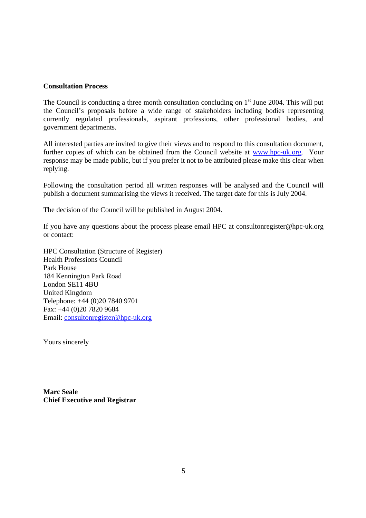### **Consultation Process**

The Council is conducting a three month consultation concluding on  $1<sup>st</sup>$  June 2004. This will put the Council's proposals before a wide range of stakeholders including bodies representing currently regulated professionals, aspirant professions, other professional bodies, and government departments.

All interested parties are invited to give their views and to respond to this consultation document, further copies of which can be obtained from the Council website at www.hpc-uk.org. Your response may be made public, but if you prefer it not to be attributed please make this clear when replying.

Following the consultation period all written responses will be analysed and the Council will publish a document summarising the views it received. The target date for this is July 2004.

The decision of the Council will be published in August 2004.

If you have any questions about the process please email HPC at consultonregister@hpc-uk.org or contact:

HPC Consultation (Structure of Register) Health Professions Council Park House 184 Kennington Park Road London SE11 4BU United Kingdom Telephone: +44 (0)20 7840 9701 Fax: +44 (0)20 7820 9684 Email: consultonregister@hpc-uk.org

Yours sincerely

**Marc Seale Chief Executive and Registrar**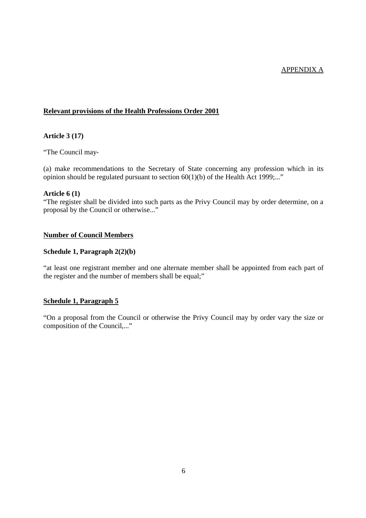## APPENDIX A

### **Relevant provisions of the Health Professions Order 2001**

#### **Article 3 (17)**

"The Council may-

(a) make recommendations to the Secretary of State concerning any profession which in its opinion should be regulated pursuant to section 60(1)(b) of the Health Act 1999;..."

#### **Article 6 (1)**

"The register shall be divided into such parts as the Privy Council may by order determine, on a proposal by the Council or otherwise..."

#### **Number of Council Members**

#### **Schedule 1, Paragraph 2(2)(b)**

"at least one registrant member and one alternate member shall be appointed from each part of the register and the number of members shall be equal;"

## **Schedule 1, Paragraph 5**

"On a proposal from the Council or otherwise the Privy Council may by order vary the size or composition of the Council,..."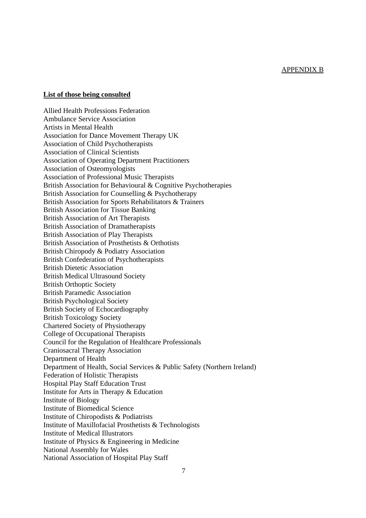#### APPENDIX B

## **List of those being consulted**

Allied Health Professions Federation Ambulance Service Association Artists in Mental Health Association for Dance Movement Therapy UK Association of Child Psychotherapists Association of Clinical Scientists Association of Operating Department Practitioners Association of Osteomyologists Association of Professional Music Therapists British Association for Behavioural & Cognitive Psychotherapies British Association for Counselling & Psychotherapy British Association for Sports Rehabilitators & Trainers British Association for Tissue Banking British Association of Art Therapists British Association of Dramatherapists British Association of Play Therapists British Association of Prosthetists & Orthotists British Chiropody & Podiatry Association British Confederation of Psychotherapists British Dietetic Association British Medical Ultrasound Society British Orthoptic Society British Paramedic Association British Psychological Society British Society of Echocardiography British Toxicology Society Chartered Society of Physiotherapy College of Occupational Therapists Council for the Regulation of Healthcare Professionals Craniosacral Therapy Association Department of Health Department of Health, Social Services & Public Safety (Northern Ireland) Federation of Holistic Therapists Hospital Play Staff Education Trust Institute for Arts in Therapy & Education Institute of Biology Institute of Biomedical Science Institute of Chiropodists & Podiatrists Institute of Maxillofacial Prosthetists & Technologists Institute of Medical Illustrators Institute of Physics & Engineering in Medicine National Assembly for Wales National Association of Hospital Play Staff